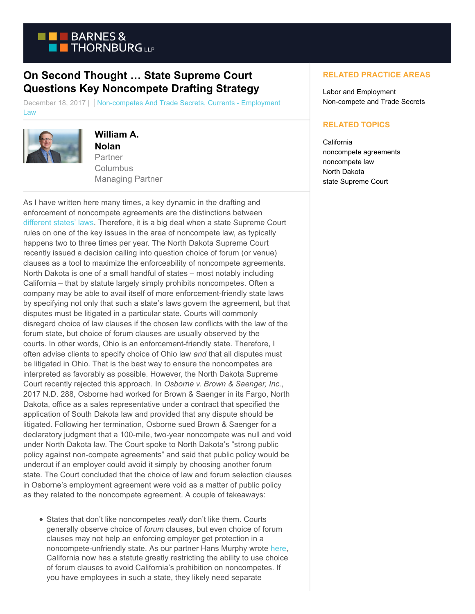

## **On Second Thought … State Supreme Court Questions Key Noncompete Drafting Strategy**

December 18, 2017 | Non-competes And Trade Secrets, Currents - Employment Law



## **William A. Nolan**

Partner **Columbus** Managing Partner

As I have written here many times, a key dynamic in the drafting and enforcement of noncompete agreements are the distinctions between [different states' laws.](https://www.btcurrentsemployment.com/state-lines-may-not-be-when-it-comes-to-noncompetes-09-09-2013/) Therefore, it is a big deal when a state Supreme Court rules on one of the key issues in the area of noncompete law, as typically happens two to three times per year. The North Dakota Supreme Court recently issued a decision calling into question choice of forum (or venue) clauses as a tool to maximize the enforceability of noncompete agreements. North Dakota is one of a small handful of states – most notably including California – that by statute largely simply prohibits noncompetes. Often a company may be able to avail itself of more enforcement-friendly state laws by specifying not only that such a state's laws govern the agreement, but that disputes must be litigated in a particular state. Courts will commonly disregard choice of law clauses if the chosen law conflicts with the law of the forum state, but choice of forum clauses are usually observed by the courts. In other words, Ohio is an enforcement-friendly state. Therefore, I often advise clients to specify choice of Ohio law *and* that all disputes must be litigated in Ohio. That is the best way to ensure the noncompetes are interpreted as favorably as possible. However, the North Dakota Supreme Court recently rejected this approach. In *Osborne v. Brown & Saenger, Inc.*, 2017 N.D. 288, Osborne had worked for Brown & Saenger in its Fargo, North Dakota, office as a sales representative under a contract that specified the application of South Dakota law and provided that any dispute should be litigated. Following her termination, Osborne sued Brown & Saenger for a declaratory judgment that a 100-mile, two-year noncompete was null and void under North Dakota law. The Court spoke to North Dakota's "strong public policy against non-compete agreements" and said that public policy would be undercut if an employer could avoid it simply by choosing another forum state. The Court concluded that the choice of law and forum selection clauses in Osborne's employment agreement were void as a matter of public policy as they related to the noncompete agreement. A couple of takeaways:

States that don't like noncompetes *really* don't like them. Courts generally observe choice of *forum* clauses, but even choice of forum clauses may not help an enforcing employer get protection in a noncompete-unfriendly state. As our partner Hans Murphy wrote [here,](https://www.btcurrentsemployment.com/hotel-california-checks-out-of-state-forum-selection-clauses/) California now has a statute greatly restricting the ability to use choice of forum clauses to avoid California's prohibition on noncompetes. If you have employees in such a state, they likely need separate

## **RELATED PRACTICE AREAS**

Labor and Employment Non-compete and Trade Secrets

## **RELATED TOPICS**

**California** noncompete agreements noncompete law North Dakota state Supreme Court